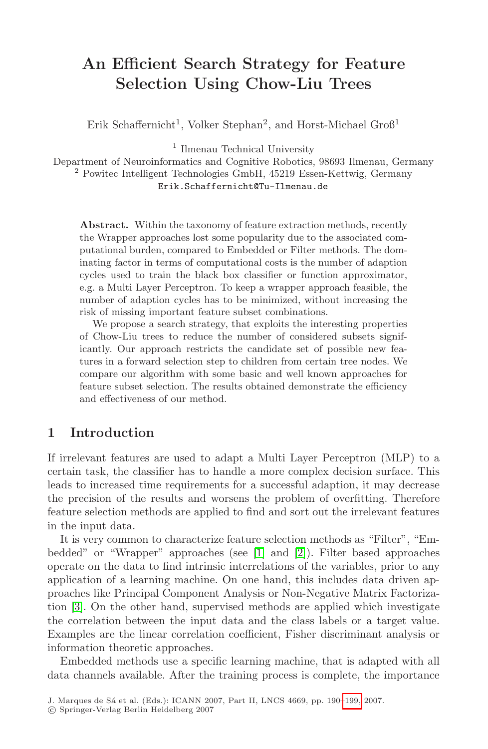# **An Efficient Search Strategy for Feature Selection Using Chow-Liu Trees**

Erik Schaffernicht<sup>1</sup>, Volker Stephan<sup>2</sup>, and Horst-Michael  $\text{Groß}^1$ 

<sup>1</sup> Ilmenau Technical University

Department of Neuroinformatics and Cognitive Robotics, 98693 Ilmenau, Germany <sup>2</sup> Powitec Intelligent Technologies GmbH, 45219 Essen-Kettwig, Germany Erik.Schaffernicht@Tu-Ilmenau.de

**Abstract.** Within the taxonomy of feature extraction methods, recently the Wrapper approaches lost some popularity due to the associated computational burden, compared to Embedded or Filter methods. The dominating factor in terms of computational costs is the number of adaption cycles used to train the black box classifier or function approximator, e.g. a Multi Layer Perceptron. To keep a wrapper approach feasible, the number of adaption cycles has to be minimized, without increasing the risk of missing important feature subset combinations.

We propose a search strategy, that exploits the interesting properties of Chow-Liu trees to reduce the number of considered subsets significantly. Our approach restricts the candidate set of possible new features in a forward selection step to children from certain tree nodes. We compare our algorithm with some basic and well known approaches for feature subset selection. The results obtained demonstrate the efficiency and effectiveness of our method.

## **1 Introduction**

If irrelevant features are used to adapt a Multi Layer Perceptron (MLP) to a certain task, the classifier has to handle a more complex decision surface. This leads to increased time requirements for a successful adaption, it may decrease the precision of the results and worsens the problem of overfitting. Therefore feature selection methods are applied to find and sort out the irrelevant features in the input data.

It is very common to characterize feature selection methods as "Filter", "Embedded" or "Wrapper" approaches (see [1] and [2]). Filter based approaches operate on the data to find intrinsic interrelations of the variables, prior to any application of a learning machine. On one hand, this includes data driven approaches like Principal Component Anal[ysis](#page-9-0) or Non-Negative Matrix Factorization [3]. On the other hand, supervised methods are applied which investigate the correlation between the input data and the class labels or a target value. Examples are the linear correlation coefficient, Fisher discriminant analysis or information theoretic approaches.

Embedded methods use a specific learning machine, that is adapted with all data channels available. After the training process is complete, the importance

J. Marques de Sá et al. (Eds.): ICANN 2007, Part II, LNCS 4669, pp. 190-199, 2007.

<sup>-</sup>c Springer-Verlag Berlin Heidelberg 2007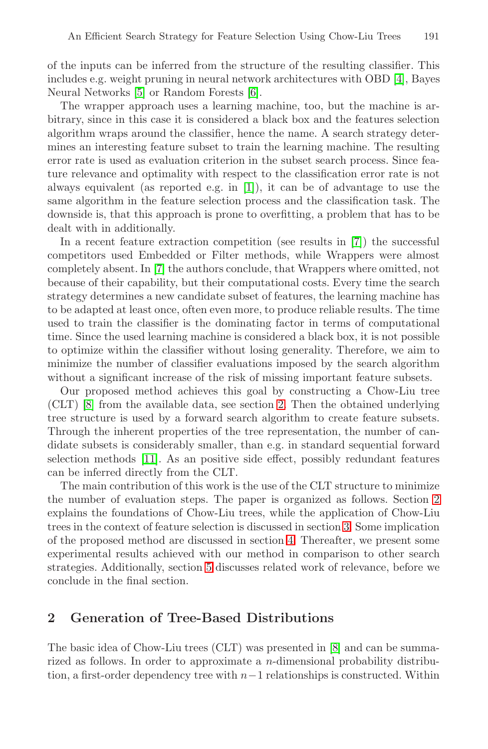of the inputs can be inferred from the structure of the resulting classifier. This includes e.g. weight pruning in neural network architectures with OBD [4], Bayes Neural Networks [5] or Random Forests [6].

The wrapper approach uses a learning machine, too, but the machine is arbitrary, since in this case it is considered a black box and the features selection algorithm wraps around the classifier, hence the name. A search strategy determines an interesting feature subset to train the learning machine. The resulting error rate is used as evaluation criterion in the subset search process. Since feature relevance and optimality with respect to the classification error rate is not always equivalent (as reported e.g. in [1]), it can be of advantage to use the same algorithm in the feature selection process and the classification task. The downside is, that this approach is prone to overfitting, a problem that has to be dealt with in additionally.

In a recent feature extraction competition (see results in [7]) the successful competitors used Embedded or Filter methods, while Wrappers were almost completely absent. In [7] the authors conclude, that Wrappers where omitted, not because of their capability, but their computational costs. Every time the search strategy determines a new candidate subset of features, the learning machine has to be adapted at least once, often even more, to produce reliable results. The time used to train the classifier is the dominating factor in terms of computational time. Since the used learning machine is considered a black box, it is not possible to optimize within the classifier without losing generality. Therefore, we aim to minimize the number of classifier evaluations imposed by the search algorithm without a significant increase of the risk of missing important feature subsets.

Our proposed method achieves this goal by constructing a Chow-Liu tree (CLT) [8] from the available data, see section 2. Then the obtained underlying tree structure is used by a forward search algorithm to create feature subsets. Through the inherent properties of the tree representation, the number of candidate subsets is considerably smaller, than e.g. in standard sequential forward selection methods [11]. As an positive side effect, possibly redundant features can be inferred directly from the CLT.

The main contribution of this work is the use of the CLT structure to minimize the number of evaluation steps. The paper is organized as follows. Section 2 explains the foundations of Chow-Liu trees, while the application of Chow-Liu trees in the context of feature selection is discussed in section 3. Some implication of the proposed method are discussed in section 4. Thereafter, we present some experimental results achieved with our method in comparison to other search strategies. Additionally, section 5 discusses related work of relevance, before we conclude in the final section.

## **2 Generation of Tree-Based Distributions**

The basic idea of Chow-Liu trees (CLT) was presented in [8] and can be summarized as follows. In order to approximate a n-dimensional probability distribution, a first-order dependency tree with  $n-1$  relationships is constructed. Within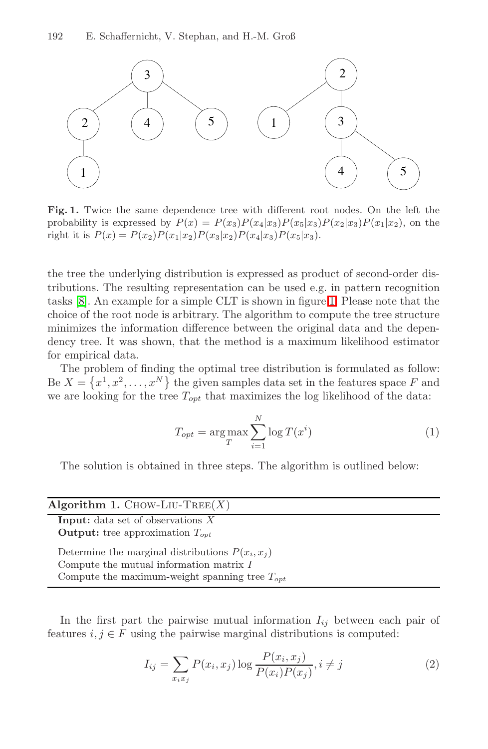#### 192 E. Schaffernicht, V. Stephan, and H.-M. Groß



**Fig. 1.** Twice the same dependence tree with different root nodes. On the left the probability is expressed by  $P(x) = P(x_3)P(x_4|x_3)P(x_5|x_3)P(x_2|x_3)P(x_1|x_2)$ , on the right it is  $P(x) = P(x_2)P(x_1|x_2)P(x_3|x_2)P(x_4|x_3)P(x_5|x_3)$ .

the tree the underlying distribution is expressed as product of second-order distributions. The resulting representation can be used e.g. in pattern recognition tasks [8]. An example for a simple CLT is shown in figure 1. Please note that the choice of the root node is arbitrary. The algorithm to compute the tree structure minimizes the information difference between the original data and the dependency tree. It was shown, that the method is a maximum likelihood estimator for empirical data.

The problem of finding the optimal tree distribution is formulated as follow: Be  $X = \{x^1, x^2, \ldots, x^N\}$  the given samples data set in the features space F and we are looking for the tree  $T_{opt}$  that maximizes the log likelihood of the data:

$$
T_{opt} = \underset{T}{\arg\max} \sum_{i=1}^{N} \log T(x^i)
$$
 (1)

The solution is obtained in three steps. The algorithm is outlined below:

| Algorithm 1. CHOW-LIU-TREE $(X)$                                                                                                                      |
|-------------------------------------------------------------------------------------------------------------------------------------------------------|
| <b>Input:</b> data set of observations $X$<br><b>Output:</b> tree approximation $T_{opt}$                                                             |
| Determine the marginal distributions $P(x_i, x_i)$<br>Compute the mutual information matrix $I$<br>Compute the maximum-weight spanning tree $T_{opt}$ |

In the first part the pairwise mutual information  $I_{ij}$  between each pair of features  $i, j \in F$  using the pairwise marginal distributions is computed:

$$
I_{ij} = \sum_{x_i x_j} P(x_i, x_j) \log \frac{P(x_i, x_j)}{P(x_i)P(x_j)}, i \neq j
$$
 (2)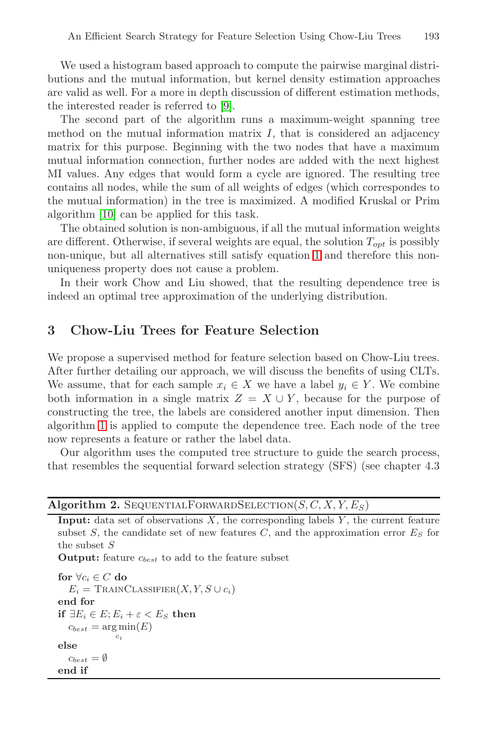We used a histogram based approach to compute the pairwise marginal distributions and the mutual information, but kernel density estimation approaches are valid as well. For a more in depth discussion of different estimation methods, the interested reader is referred to [9].

The second part of the algorithm runs a maximum-weight spanning tree method on the mutual information matrix  $I$ , that is considered an adjacency matrix for this purpose. Beginning with the two nodes that have a maximum mutual information connection, further nodes are added with the next highest MI values. Any edges that would form a cycle are ignored. The resulting tree contains all nodes, while the sum of all weights of edges (which correspondes to the mutual information) in the tree is maximized. A modified Kruskal or Prim algorithm [10] can be applied for this task.

The obtained solution is non-ambiguous, if all the mutual information weights are different. Otherwise, if several weights are equal, the solution  $T_{\text{out}}$  is possibly non-unique, but all alternatives still satisfy equation 1 and therefore this nonuniqueness property does not cause a problem.

In their work Chow and Liu showed, that the resulting dependence tree is indeed an optimal tree approximation of the underlying distribution.

## **3 Chow-Liu Trees for Feature Selection**

We propose a supervised method for feature selection based on Chow-Liu trees. After further detailing our approach, we will discuss the benefits of using CLTs. We assume, that for each sample  $x_i \in X$  we have a label  $y_i \in Y$ . We combine both information in a single matrix  $Z = X \cup Y$ , because for the purpose of constructing the tree, the labels are considered another input dimension. Then algorithm 1 is applied to compute the dependence tree. Each node of the tree now represents a feature or rather the label data.

Our algorithm uses the computed tree structure to guide the search process, that resembles the sequential forward selection strategy (SFS) (see chapter 4.3

| <b>Algorithm 2.</b> SEQUENTIALFORWARDSELECTION(S, C, X, Y, $E_S$ )                              |  |
|-------------------------------------------------------------------------------------------------|--|
| <b>Input:</b> data set of observations $X$ , the corresponding labels $Y$ , the current feature |  |
| subset S, the candidate set of new features C, and the approximation error $ES$ for             |  |
| the subset $S$                                                                                  |  |
|                                                                                                 |  |

**Output:** feature  $c_{best}$  to add to the feature subset

```
for ∀c_i ∈ C do
   E_i = \text{TransClassi} (X, Y, S \cup c_i)end for
if \exists E_i \in E; E_i + \varepsilon \le E_S then
   c_{best} = \arg \min (E)c_ielse
   c_{best} = \emptysetend if
```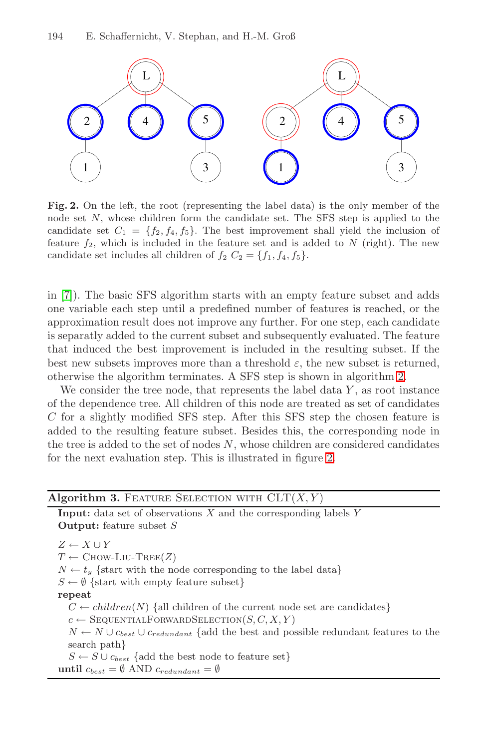#### 194 E. Schaffernicht, V. Stephan, and H.-M. Groß



Fig. 2. On the left, the root (representing the label data) is the only member of the node set N, whose children form the candidate set. The SFS step is applied to the candidate set  $C_1 = \{f_2, f_4, f_5\}$ . The best improvement shall yield the inclusion of feature  $f_2$ , which is included in the feature set and is added to  $N$  (right). The new candidate set includes all children of  $f_2 C_2 = \{f_1, f_4, f_5\}.$ 

in [7]). The basic SFS algorithm starts with an empty feature subset and adds one variable each step until a predefined number of features is reached, or the approximation result does not improve any further. For one step, each candidate is separatly added to the current subset and subsequently evaluated. The feature that induced the best improvement is included in the resulting subset. If the best new subsets improves more than a threshold  $\varepsilon$ , the new subset is returned, otherwise the algorithm terminates. A SFS step is shown in algorithm 2.

We consider the tree node, that represents the label data  $Y$ , as root instance of the dependence tree. All children of this node are treated as set of candidates C for a slightly modified SFS step. After this SFS step the chosen feature is added to the resulting feature subset. Besides this, the corresponding node in the tree is added to the set of nodes  $N$ , whose children are considered candidates for the next evaluation step. This is illustrated in figure 2.

| <b>Algorithm 3.</b> FEATURE SELECTION WITH $CLT(X, Y)$                                                 |
|--------------------------------------------------------------------------------------------------------|
| <b>Input:</b> data set of observations $X$ and the corresponding labels $Y$                            |
| <b>Output:</b> feature subset $S$                                                                      |
| $Z \leftarrow X \cup Y$                                                                                |
| $T \leftarrow$ CHOW-LIU-TREE(Z)                                                                        |
| $N \leftarrow t_y$ {start with the node corresponding to the label data}                               |
| $S \leftarrow \emptyset$ {start with empty feature subset}                                             |
| repeat                                                                                                 |
| $C \leftarrow children(N)$ {all children of the current node set are candidates}                       |
| $c \leftarrow$ SEQUENTIALFORWARDSELECTION(S, C, X, Y)                                                  |
| $N \leftarrow N \cup c_{best} \cup c_{redundant}$ {add the best and possible redundant features to the |
| search path                                                                                            |
| $S \leftarrow S \cup c_{best}$ {add the best node to feature set}                                      |
| until $c_{best} = \emptyset$ AND $c_{redundant} = \emptyset$                                           |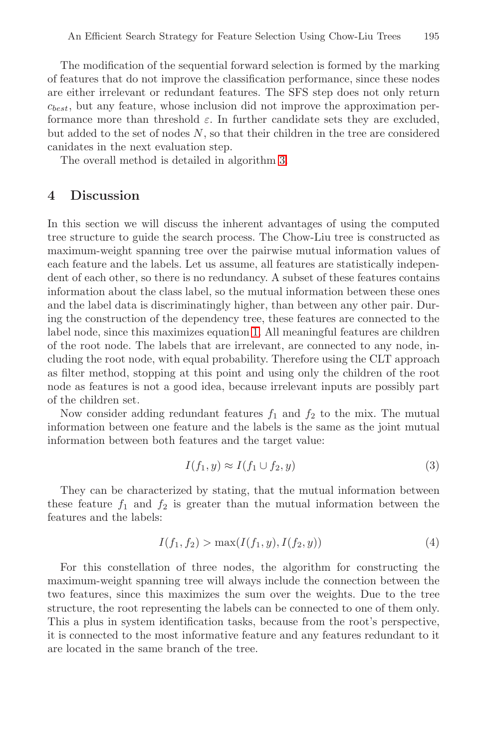The modification of the sequential forward selection is formed by the marking of features that do not improve the classification performance, since these nodes are either irrelevant or redundant features. The SFS step does not only return  $c_{best}$ , but any feature, whose inclusion did not improve the approximation performance more than threshold  $\varepsilon$ . In further candidate sets they are excluded, but added to the set of nodes  $N$ , so that their children in the tree are considered canidates in the next evaluation step.

The overall method is detailed in algorithm 3.

#### **4 Discussion**

In this section we will discuss the inherent advantages of using the computed tree structure to guide the search process. The Chow-Liu tree is constructed as maximum-weight spanning tree over the pairwise mutual information values of each feature and the labels. Let us assume, all features are statistically independent of each other, so there is no redundancy. A subset of these features contains information about the class label, so the mutual information between these ones and the label data is discriminatingly higher, than between any other pair. During the construction of the dependency tree, these features are connected to the label node, since this maximizes equation 1. All meaningful features are children of the root node. The labels that are irrelevant, are connected to any node, including the root node, with equal probability. Therefore using the CLT approach as filter method, stopping at this point and using only the children of the root node as features is not a good idea, because irrelevant inputs are possibly part of the children set.

Now consider adding redundant features  $f_1$  and  $f_2$  to the mix. The mutual information between one feature and the labels is the same as the joint mutual information between both features and the target value:

$$
I(f_1, y) \approx I(f_1 \cup f_2, y) \tag{3}
$$

They can be characterized by stating, that the mutual information between these feature  $f_1$  and  $f_2$  is greater than the mutual information between the features and the labels:

$$
I(f_1, f_2) > \max(I(f_1, y), I(f_2, y))
$$
\n(4)

For this constellation of three nodes, the algorithm for constructing the maximum-weight spanning tree will always include the connection between the two features, since this maximizes the sum over the weights. Due to the tree structure, the root representing the labels can be connected to one of them only. This a plus in system identification tasks, because from the root's perspective, it is connected to the most informative feature and any features redundant to it are located in the same branch of the tree.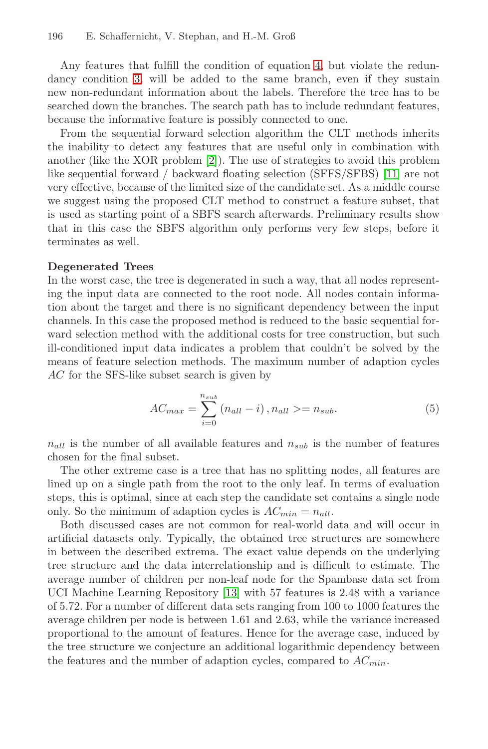#### 196 E. Schaffernicht, V. Stephan, and H.-M. Groß

Any features that fulfill the condition of equation 4, but violate the redundancy condition 3, will be added to the same branch, even if they sustain new non-redundant information about the labels. Therefore the tree has to be searched down the branches. The search path has to include redundant features, because the informative feature is possibly connected to one.

From the sequential forward selection algorithm the CLT methods inherits the inability to detect any features that are useful only in combination with another (like the XOR problem [2]). The use of strategies to avoid this problem like sequential forward / backward floating selection (SFFS/SFBS) [11] are not very effective, because of the limited size of the candidate set. As a middle course we suggest using the proposed CLT method to construct a feature subset, that is used as starting point of a SBFS search afterwards. Preliminary results show that in this case the SBFS algorithm only performs very few steps, before it terminates as well.

#### **Degenerated Trees**

In the worst case, the tree is degenerated in such a way, that all nodes representing the input data are connected to the root node. All nodes contain information about the target and there is no significant dependency between the input channels. In this case the proposed method is reduced to the basic sequential forward selection method with the additional costs for tree construction, but such ill-conditioned input data indicates a problem that couldn't be solved by the means of feature selection methods. The maximum number of adaption cycles AC for the SFS-like subset search is given by

$$
AC_{max} = \sum_{i=0}^{n_{sub}} (n_{all} - i), n_{all} \geq n_{sub}.
$$
 (5)

 $n_{all}$  is the number of all available features and  $n_{sub}$  is the number of features chosen for the final subset.

The other extreme case is a tree that has no splitting nodes, all features are lined up on a single path from the root to the only leaf. In terms of evaluation steps, this is optimal, since at each step the candidate set contains a single node only. So the minimum of adaption cycles is  $AC_{min} = n_{all}$ .

Both discussed cases are not common for real-world data and will occur in artificial datasets only. Typically, the obtained tree structures are somewhere in between the described extrema. The exact value depends on the underlying tree structure and the data interrelationship and is difficult to estimate. The average number of children per non-leaf node for the Spambase data set from UCI Machine Learning Repository [13] with 57 features is 2.48 with a variance of 5.72. For a number of different data sets ranging from 100 to 1000 features the average children per node is between 1.61 and 2.63, while the variance increased proportional to the amount of features. Hence for the average case, induced by the tree structure we conjecture an additional logarithmic dependency between the features and the number of adaption cycles, compared to  $AC_{min}$ .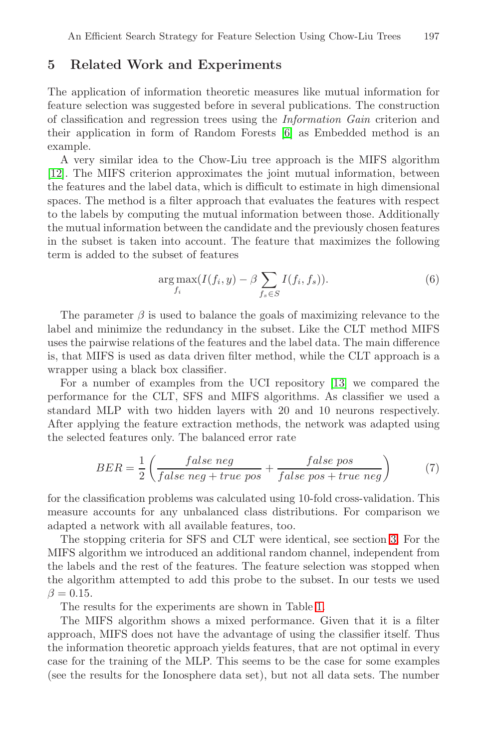### **5 Related Work and Experiments**

The application of information theoretic measures like mutual information for feature selection was suggested before in several publications. The construction of classification and regression trees using the Information Gain criterion and their application in form of Random Forests [6] as Embedded method is an example.

A very similar idea to the Chow-Liu tree approach is the MIFS algorithm [12]. The MIFS criterion approximates the joint mutual information, between the features and the label data, which is difficult to estimate in high dimensional spaces. The method is a filter approach that evaluates the features with respect to the labels by computing the mutual information between those. Additionally the mutual information between the candidate and the previously chosen features in the subset is taken into account. The feature that maximizes the following term is added to the subset of features

$$
\underset{f_i}{\arg \max} (I(f_i, y) - \beta \sum_{f_s \in S} I(f_i, f_s)). \tag{6}
$$

The parameter  $\beta$  is used to balance the goals of maximizing relevance to the label and minimize the redundancy in the subset. Like the CLT method MIFS uses the pairwise relations of the features and the label data. The main difference is, that MIFS is used as data driven filter method, while the CLT approach is a wrapper using a black box classifier.

For a number of examples from the UCI repository [13] we compared the performance for the CLT, SFS and MIFS algorithms. As classifier we used a standard MLP with two hidden layers with 20 and 10 neurons respectively. After applying the feature extraction methods, the network was adapted using the selected features only. The balanced error rate

$$
BER = \frac{1}{2} \left( \frac{false \ neg}{false \ neg + true \ pos} + \frac{false \ pos}{false \ pos + true \ neg} \right) \tag{7}
$$

for the classification problems was calculated using 10-fold cross-validation. This measure accounts for any unbalanced class distributions. For comparison we adapted a network with all available features, too.

The stopping criteria for SFS and CLT were identical, see section 3. For the MIFS algorithm we introduced an additional random channel, independent from the labels and the rest of the features. The feature selection was stopped when the algorithm attempted to add this probe to the subset. In our tests we used  $\beta = 0.15$ .

The results for the experiments are shown in Table 1.

The MIFS algorithm shows a mixed performance. Given that it is a filter approach, MIFS does not have the advantage of using the classifier itself. Thus the information theoretic approach yields features, that are not optimal in every case for the training of the MLP. This seems to be the case for some examples (see the results for the Ionosphere data set), but not all data sets. The number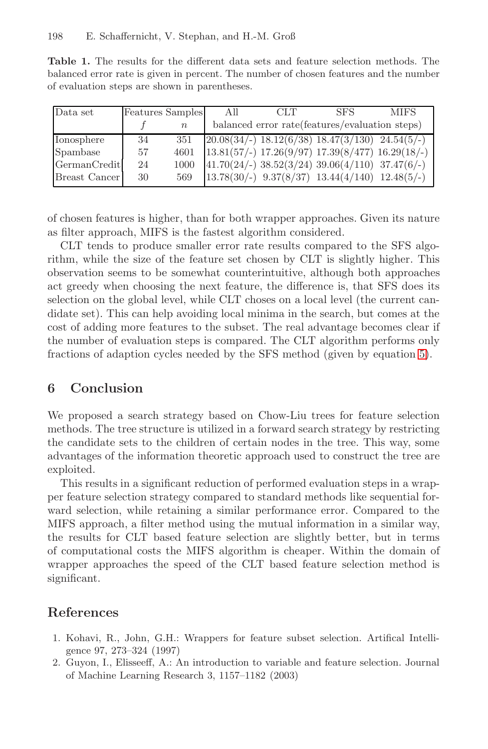**Table 1.** The results for the different data sets and feature selection methods. The balanced error rate is given in percent. The number of chosen features and the number of evaluation steps are shown in parentheses.

| Data set      | <b>Features Samples</b> |        | All | CLT | <b>SFS</b>                                                     | <b>MIFS</b> |
|---------------|-------------------------|--------|-----|-----|----------------------------------------------------------------|-------------|
|               |                         | $\, n$ |     |     | balanced error rate (features/evaluation steps)                |             |
| Ionosphere    | 34                      | 351    |     |     | $\left[20.08(34/-) 18.12(6/38) 18.47(3/130) 24.54(5/-)\right]$ |             |
| Spambase      | 57                      | 4601   |     |     | $13.81(57/-)$ 17.26(9/97) 17.39(8/477) 16.29(18/-)             |             |
| GermanCredit  | 24                      | 1000   |     |     | $41.70(24/-)$ 38.52(3/24) 39.06(4/110) 37.47(6/-)              |             |
| Breast Cancer | 30                      | 569    |     |     | $13.78(30/-)$ $9.37(8/37)$ $13.44(4/140)$ $12.48(5/-)$         |             |

of chosen features is higher, than for both wrapper approaches. Given its nature as filter approach, MIFS is the fastest algorithm considered.

CLT tends to produce smaller error rate results compared to the SFS algorithm, while the size of the feature set chosen by CLT is slightly higher. This observation seems to be somewhat counterintuitive, although both approaches act greedy when choosing the next feature, the difference is, that SFS does its selection on the global level, while CLT choses on a local level (the current candidate set). This can help avoiding local minima in the search, but comes at the cost of adding more features to the subset. The real advantage becomes clear if the number of evaluation steps is compared. The CLT algorithm performs only fractions of adaption cycles needed by the SFS method (given by equation 5).

#### **6 Conclusion**

We proposed a search strategy based on Chow-Liu trees for feature selection methods. The tree structure is utilized in a forward search strategy by restricting the candidate sets to the children of certain nodes in the tree. This way, some advantages of the information theoretic approach used to construct the tree are exploited.

This results in a significant reduction of performed evaluation steps in a wrapper feature selection strategy compared to standard methods like sequential forward selection, while retaining a similar performance error. Compared to the MIFS approach, a filter method using the mutual information in a similar way, the results for CLT based feature selection are slightly better, but in terms of computational costs the MIFS algorithm is cheaper. Within the domain of wrapper approaches the speed of the CLT based feature selection method is significant.

# **References**

- 1. Kohavi, R., John, G.H.: Wrappers for feature subset selection. Artifical Intelligence 97, 273–324 (1997)
- 2. Guyon, I., Elisseeff, A.: An introduction to variable and feature selection. Journal of Machine Learning Research 3, 1157–1182 (2003)